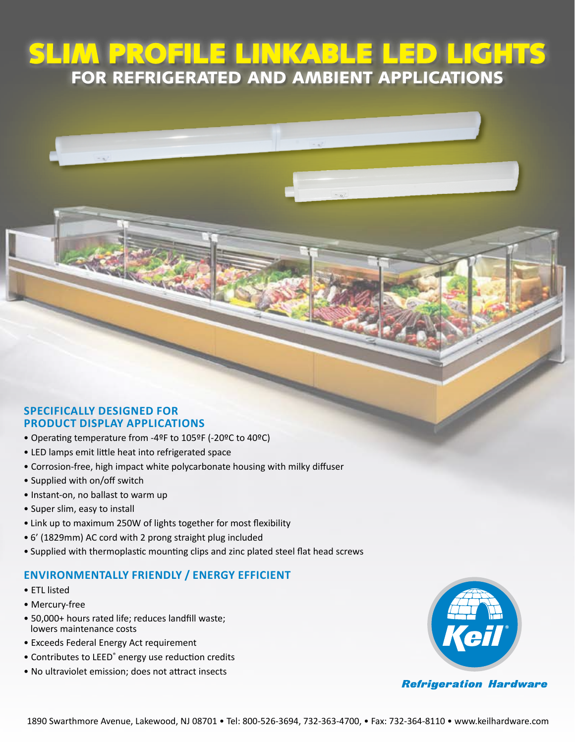# SLIM PROFILE LINKABLE LED LIGHT FOR REFRIGERATED AND AMBIENT APPLICATION

### **Specifically designed for product display applications**

- Operating temperature from -4ºF to 105ºF (-20ºC to 40ºC)
- LED lamps emit little heat into refrigerated space
- Corrosion-free, high impact white polycarbonate housing with milky diffuser

MGRA

- Supplied with on/off switch
- Instant-on, no ballast to warm up
- Super slim, easy to install
- Link up to maximum 250W of lights together for most flexibility
- 6' (1829mm) AC cord with 2 prong straight plug included
- Supplied with thermoplastic mounting clips and zinc plated steel flat head screws

### **ENVIRONMENTALLY FRIENDLY / Energy efficient**

- ETL listed
- Mercury-free
- 50,000+ hours rated life; reduces landfill waste; lowers maintenance costs
- Exceeds Federal Energy Act requirement
- Contributes to LEED<sup>®</sup> energy use reduction credits
- No ultraviolet emission; does not attract insects



#### **Refrigeration Hardware**